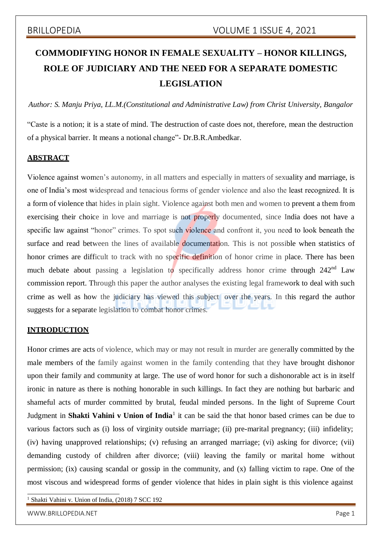# **COMMODIFYING HONOR IN FEMALE SEXUALITY – HONOR KILLINGS, ROLE OF JUDICIARY AND THE NEED FOR A SEPARATE DOMESTIC LEGISLATION**

*Author: S. Manju Priya, LL.M.(Constitutional and Administrative Law) from Christ University, Bangalor*

"Caste is a notion; it is a state of mind. The destruction of caste does not, therefore, mean the destruction of a physical barrier. It means a notional change"- Dr.B.R.Ambedkar.

### **ABSTRACT**

Violence against women's autonomy, in all matters and especially in matters of sexuality and marriage, is one of India's most widespread and tenacious forms of gender violence and also the least recognized. It is a form of violence that hides in plain sight. Violence against both men and women to prevent a them from exercising their choice in love and marriage is not properly documented, since India does not have a specific law against "honor" crimes. To spot such violence and confront it, you need to look beneath the surface and read between the lines of available documentation. This is not possible when statistics of honor crimes are difficult to track with no specific definition of honor crime in place. There has been much debate about passing a legislation to specifically address honor crime through  $242<sup>nd</sup>$  Law commission report. Through this paper the author analyses the existing legal framework to deal with such crime as well as how the judiciary has viewed this subject over the years. In this regard the author suggests for a separate legislation to combat honor crimes.

### **INTRODUCTION**

Honor crimes are acts of violence, which may or may not result in murder are generally committed by the male members of the family against women in the family contending that they have brought dishonor upon their family and community at large. The use of word honor for such a dishonorable act is in itself ironic in nature as there is nothing honorable in such killings. In fact they are nothing but barbaric and shameful acts of murder committed by brutal, feudal minded persons. In the light of Supreme Court Judgment in **Shakti Vahini v Union of India**<sup>1</sup> it can be said the that honor based crimes can be due to various factors such as (i) loss of virginity outside marriage; (ii) pre-marital pregnancy; (iii) infidelity; (iv) having unapproved relationships; (v) refusing an arranged marriage; (vi) asking for divorce; (vii) demanding custody of children after divorce; (viii) leaving the family or marital home without permission; (ix) causing scandal or gossip in the community, and (x) falling victim to rape. One of the most viscous and widespread forms of gender violence that hides in plain sight is this violence against

<sup>1</sup> Shakti Vahini v. Union of India, (2018) 7 SCC 192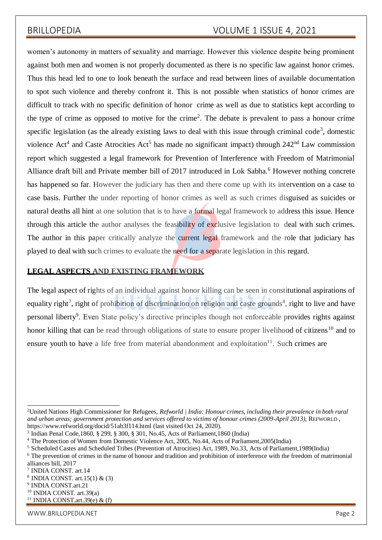women's autonomy in matters of sexuality and marriage. However this violence despite being prominent against both men and women is not properly documented as there is no specific law against honor crimes. Thus this head led to one to look beneath the surface and read between lines of available documentation to spot such violence and thereby confront it. This is not possible when statistics of honor crimes are difficult to track with no specific definition of honor crime as well as due to statistics kept according to the type of crime as opposed to motive for the crime<sup>2</sup>. The debate is prevalent to pass a honour crime specific legislation (as the already existing laws to deal with this issue through criminal code<sup>3</sup>, domestic violence Act<sup>4</sup> and Caste Atrocities Act<sup>5</sup> has made no significant impact) through  $242<sup>nd</sup>$  Law commission report which suggested a legal framework for Prevention of Interference with Freedom of Matrimonial Alliance draft bill and Private member bill of 2017 introduced in Lok Sabha.<sup>6</sup> However nothing concrete has happened so far. However the judiciary has then and there come up with its intervention on a case to case basis. Further the under reporting of honor crimes as well as such crimes disguised as suicides or natural deaths all hint at one solution that is to have a formal legal framework to address this issue. Hence through this article the author analyses the feasibility of exclusive legislation to deal with such crimes. The author in this paper critically analyze the current legal framework and the role that judiciary has played to deal with such crimes to evaluate the need for a separate legislation in this regard.

### **LEGAL ASPECTS AND EXISTING FRAMEWORK**

The legal aspect of rights of an individual against honor killing can be seen in constitutional aspirations of equality right<sup>7</sup>, right of prohibition of discrimination on religion and caste grounds<sup>8</sup>, right to live and have personal liberty<sup>9</sup>. Even State policy's directive principles though not enforceable provides rights against honor killing that can be read through obligations of state to ensure proper livelihood of citizens<sup>10</sup> and to ensure youth to have a life free from material abandonment and exploitation $11$ . Such crimes are

<sup>2</sup>United Nations High Commissioner for Refugees, *Refworld | India: Honour crimes, including their prevalence in both rural and urban areas; government protection and services offered to victims of honour crimes (2009-April 2013)*, REFWORLD , https:/[/www.refworld.org/docid/51ab3f114.html](http://www.refworld.org/docid/51ab3f114.html) (last visited Oct 24, 2020).

<sup>3</sup> Indian Penal Code,1860, § 299, § 300, § 301, No.45, Acts of Parliament,1860 (India)

<sup>4</sup> The Protection of Women from Domestic Violence Act, 2005, No.44, Acts of Parliament,2005(India)

<sup>5</sup> Scheduled Castes and Scheduled Tribes (Prevention of Atrocities) Act, 1989, No.33, Acts of Parliament,1989(India)

<sup>&</sup>lt;sup>6</sup> The prevention of crimes in the name of honour and tradition and prohibition of interference with the freedom of matrimonial alliances bill, 2017

<sup>7</sup> INDIA CONST. art.14

 $8$  INDIA CONST. art. 15(1) & (3)

<sup>9</sup> INDIA CONST.art.21

<sup>10</sup> INDIA CONST. art.39(a)

<sup>&</sup>lt;sup>11</sup> INDIA CONST.art.39(e) & (f)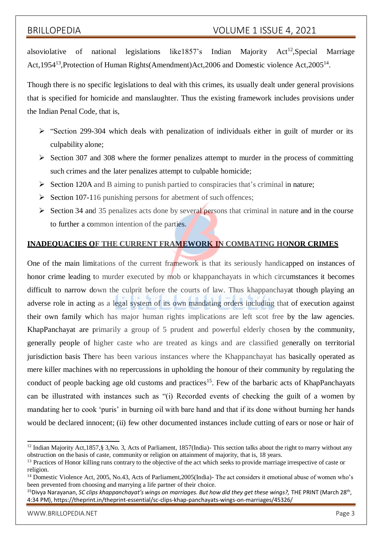alsoviolative of national legislations like1857's Indian Majority  $Act^{12}$ , Special Marriage Act,1954<sup>13</sup>, Protection of Human Rights(Amendment) Act, 2006 and Domestic violence Act, 2005<sup>14</sup>.

Though there is no specific legislations to deal with this crimes, its usually dealt under general provisions that is specified for homicide and manslaughter. Thus the existing framework includes provisions under the Indian Penal Code, that is,

- $\triangleright$  "Section 299-304 which deals with penalization of individuals either in guilt of murder or its culpability alone;
- $\triangleright$  Section 307 and 308 where the former penalizes attempt to murder in the process of committing such crimes and the later penalizes attempt to culpable homicide;
- $\triangleright$  Section 120A and B aiming to punish partied to conspiracies that's criminal in nature;
- $\triangleright$  Section 107-116 punishing persons for abetment of such offences;
- $\triangleright$  Section 34 and 35 penalizes acts done by several persons that criminal in nature and in the course to further a common intention of the parties.

### **INADEQUACIES OF THE CURRENT FRAMEWORK IN COMBATING HONOR CRIMES**

One of the main limitations of the current framework is that its seriously handicapped on instances of honor crime leading to murder executed by mob or khappanchayats in which circumstances it becomes difficult to narrow down the culprit before the courts of law. Thus khappanchayat though playing an adverse role in acting as a legal system of its own mandating orders including that of execution against their own family which has major human rights implications are left scot free by the law agencies. KhapPanchayat are primarily a group of 5 prudent and powerful elderly chosen by the community, generally people of higher caste who are treated as kings and are classified generally on territorial jurisdiction basis There has been various instances where the Khappanchayat has basically operated as mere killer machines with no repercussions in upholding the honour of their community by regulating the conduct of people backing age old customs and practices<sup>15</sup>. Few of the barbaric acts of KhapPanchayats can be illustrated with instances such as "(i) Recorded events of checking the guilt of a women by mandating her to cook 'puris' in burning oil with bare hand and that if its done without burning her hands would be declared innocent; (ii) few other documented instances include cutting of ears or nose or hair of

<sup>&</sup>lt;sup>12</sup> Indian Majority Act,1857, § 3, No. 3, Acts of Parliament, 1857(India)-This section talks about the right to marry without any obstruction on the basis of caste, community or religion on attainment of majority, that is, 18 years.

<sup>&</sup>lt;sup>13</sup> Practices of Honor killing runs contrary to the objective of the act which seeks to provide marriage irrespective of caste or religion.

<sup>&</sup>lt;sup>14</sup> Domestic Violence Act, 2005, No.43, Acts of Parliament, 2005(India)- The act considers it emotional abuse of women who's been prevented from choosing and marrying a life partner of their choice.

<sup>&</sup>lt;sup>15</sup>Divya Narayanan, *SC clips khappanchayat's wings on marriages. But how did they get these wings?, THE PRINT (March 28<sup>th</sup>,* 4:34 PM), https://theprint.in/theprint-essential/sc-clips-khap-panchayats-wings-on-marriages/45326/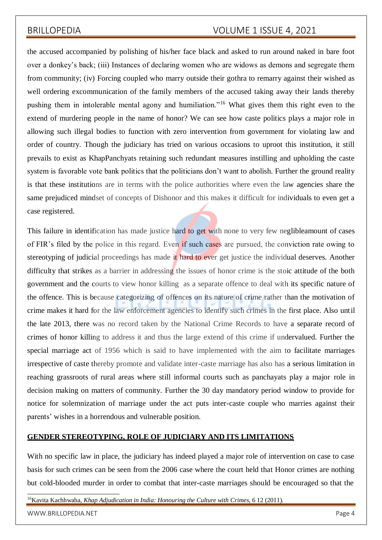the accused accompanied by polishing of his/her face black and asked to run around naked in bare foot over a donkey's back; (iii) Instances of declaring women who are widows as demons and segregate them from community; (iv) Forcing coupled who marry outside their gothra to remarry against their wished as well ordering excommunication of the family members of the accused taking away their lands thereby pushing them in intolerable mental agony and humiliation."<sup>16</sup> What gives them this right even to the extend of murdering people in the name of honor? We can see how caste politics plays a major role in allowing such illegal bodies to function with zero intervention from government for violating law and order of country. Though the judiciary has tried on various occasions to uproot this institution, it still prevails to exist as KhapPanchyats retaining such redundant measures instilling and upholding the caste system is favorable vote bank politics that the politicians don't want to abolish. Further the ground reality is that these institutions are in terms with the police authorities where even the law agencies share the same prejudiced mindset of concepts of Dishonor and this makes it difficult for individuals to even get a case registered.

This failure in identification has made justice hard to get with none to very few neglibleamount of cases of FIR's filed by the police in this regard. Even if such cases are pursued, the conviction rate owing to stereotyping of judicial proceedings has made it hard to ever get justice the individual deserves. Another difficulty that strikes as a barrier in addressing the issues of honor crime is the stoic attitude of the both government and the courts to view honor killing as a separate offence to deal with its specific nature of the offence. This is because categorizing of offences on its nature of crime rather than the motivation of crime makes it hard for the law enforcement agencies to identify such crimes in the first place. Also until the late 2013, there was no record taken by the National Crime Records to have a separate record of crimes of honor killing to address it and thus the large extend of this crime if undervalued. Further the special marriage act of 1956 which is said to have implemented with the aim to facilitate marriages irrespective of caste thereby promote and validate inter-caste marriage has also has a serious limitation in reaching grassroots of rural areas where still informal courts such as panchayats play a major role in decision making on matters of community. Further the 30 day mandatory period window to provide for notice for solemnization of marriage under the act puts inter-caste couple who marries against their parents' wishes in a horrendous and vulnerable position.

### **GENDER STEREOTYPING, ROLE OF JUDICIARY AND ITS LIMITATIONS**

With no specific law in place, the judiciary has indeed played a major role of intervention on case to case basis for such crimes can be seen from the 2006 case where the court held that Honor crimes are nothing but cold-blooded murder in order to combat that inter-caste marriages should be encouraged so that the

<sup>16</sup>Kavita Kachhwaha, *Khap Adjudication in India: Honouring the Culture with Crimes*, 6 12 (2011).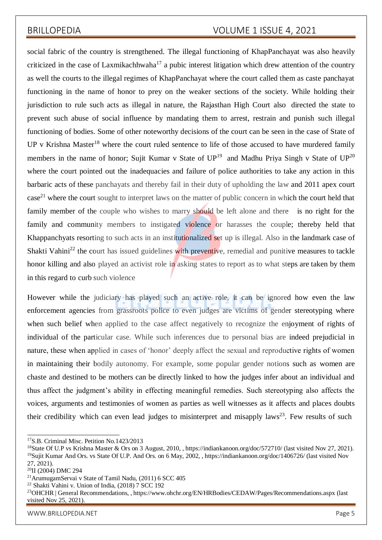social fabric of the country is strengthened. The illegal functioning of KhapPanchayat was also heavily criticized in the case of Laxmikachhwaha $17$  a pubic interest litigation which drew attention of the country as well the courts to the illegal regimes of KhapPanchayat where the court called them as caste panchayat functioning in the name of honor to prey on the weaker sections of the society. While holding their jurisdiction to rule such acts as illegal in nature, the Rajasthan High Court also directed the state to prevent such abuse of social influence by mandating them to arrest, restrain and punish such illegal functioning of bodies. Some of other noteworthy decisions of the court can be seen in the case of State of UP v Krishna Master<sup>18</sup> where the court ruled sentence to life of those accused to have murdered family members in the name of honor; Sujit Kumar v State of  $UP^{19}$  and Madhu Priya Singh v State of  $UP^{20}$ where the court pointed out the inadequacies and failure of police authorities to take any action in this barbaric acts of these panchayats and thereby fail in their duty of upholding the law and 2011 apex court case<sup>21</sup> where the court sought to interpret laws on the matter of public concern in which the court held that family member of the couple who wishes to marry should be left alone and there is no right for the family and community members to instigated violence or harasses the couple; thereby held that Khappanchyats resorting to such acts in an institutionalized set up is illegal. Also in the landmark case of Shakti Vahini<sup>22</sup> the court has issued guidelines with preventive, remedial and punitive measures to tackle honor killing and also played an activist role in asking states to report as to what steps are taken by them in this regard to curb such violence

However while the judiciary has played such an active role, it can be ignored how even the law enforcement agencies from grassroots police to even judges are victims of gender stereotyping where when such belief when applied to the case affect negatively to recognize the enjoyment of rights of individual of the particular case. While such inferences due to personal bias are indeed prejudicial in nature, these when applied in cases of 'honor' deeply affect the sexual and reproductive rights of women in maintaining their bodily autonomy. For example, some popular gender notions such as women are chaste and destined to be mothers can be directly linked to how the judges infer about an individual and thus affect the judgment's ability in effecting meaningful remedies. Such stereotyping also affects the voices, arguments and testimonies of women as parties as well witnesses as it affects and places doubts their credibility which can even lead judges to misinterpret and misapply laws<sup>23</sup>. Few results of such

<sup>&</sup>lt;sup>17</sup>S.B. Criminal Misc. Petition No.1423/2013

<sup>&</sup>lt;sup>18</sup>State Of U.P vs Krishna Master & Ors on 3 August, 2010, , https://indiankanoon.org/doc/572710/ (last visited Nov 27, 2021). <sup>19</sup>Sujit Kumar And Ors. vs State Of U.P. And Ors. on 6 May, 2002, , https://indiankanoon.org/doc/1406726/ (last visited Nov 27, 2021).

<sup>&</sup>lt;sup>20</sup>II (2004) DMC 294

<sup>21</sup>ArumugamServai v State of Tamil Nadu, (2011) 6 SCC 405

<sup>22</sup> Shakti Vahini v. Union of India, (2018) 7 SCC 192

<sup>&</sup>lt;sup>23</sup>OHCHR | General Recommendations, , https:[//www.ohchr.org/EN/HRBodies/CEDAW/Pages/Recommendations.aspx](http://www.ohchr.org/EN/HRBodies/CEDAW/Pages/Recommendations.aspx) (last visited Nov 25, 2021).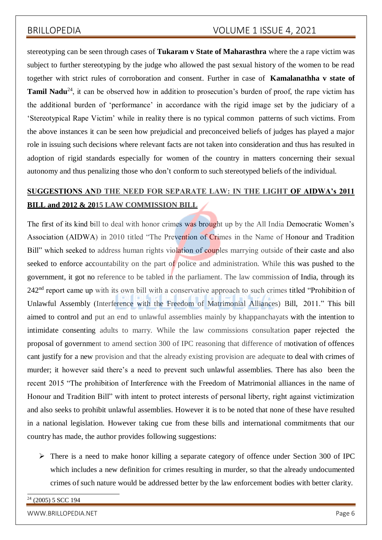stereotyping can be seen through cases of **Tukaram v State of Maharasthra** where the a rape victim was subject to further stereotyping by the judge who allowed the past sexual history of the women to be read together with strict rules of corroboration and consent. Further in case of **Kamalanathha v state of Tamil Nadu**<sup>24</sup>, it can be observed how in addition to prosecution's burden of proof, the rape victim has the additional burden of 'performance' in accordance with the rigid image set by the judiciary of a 'Stereotypical Rape Victim' while in reality there is no typical common patterns of such victims. From the above instances it can be seen how prejudicial and preconceived beliefs of judges has played a major role in issuing such decisions where relevant facts are not taken into consideration and thus has resulted in adoption of rigid standards especially for women of the country in matters concerning their sexual autonomy and thus penalizing those who don't conform to such stereotyped beliefs of the individual.

# **SUGGESTIONS AND THE NEED FOR SEPARATE LAW: IN THE LIGHT OF AIDWA's 2011 BILL and 2012 & 2015 LAW COMMISSION BILL**

The first of its kind bill to deal with honor crimes was brought up by the All India Democratic Women's Association (AIDWA) in 2010 titled "The Prevention of Crimes in the Name of Honour and Tradition Bill" which seeked to address human rights violation of couples marrying outside of their caste and also seeked to enforce accountability on the part of police and administration. While this was pushed to the government, it got no reference to be tabled in the parliament. The law commission of India, through its 242<sup>nd</sup> report came up with its own bill with a conservative approach to such crimes titled "Prohibition of Unlawful Assembly (Interference with the Freedom of Matrimonial Alliances) Bill, 2011." This bill aimed to control and put an end to unlawful assemblies mainly by khappanchayats with the intention to intimidate consenting adults to marry. While the law commissions consultation paper rejected the proposal of government to amend section 300 of IPC reasoning that difference of motivation of offences cant justify for a new provision and that the already existing provision are adequate to deal with crimes of murder; it however said there's a need to prevent such unlawful assemblies. There has also been the recent 2015 "The prohibition of Interference with the Freedom of Matrimonial alliances in the name of Honour and Tradition Bill" with intent to protect interests of personal liberty, right against victimization and also seeks to prohibit unlawful assemblies. However it is to be noted that none of these have resulted in a national legislation. However taking cue from these bills and international commitments that our country has made, the author provides following suggestions:

 There is a need to make honor killing a separate category of offence under Section 300 of IPC which includes a new definition for crimes resulting in murder, so that the already undocumented crimes of such nature would be addressed better by the law enforcement bodies with better clarity.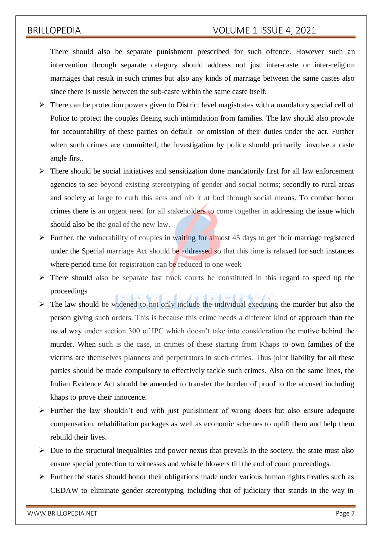There should also be separate punishment prescribed for such offence. However such an intervention through separate category should address not just inter-caste or inter-religion marriages that result in such crimes but also any kinds of marriage between the same castes also since there is tussle between the sub-caste within the same caste itself.

- $\triangleright$  There can be protection powers given to District level magistrates with a mandatory special cell of Police to protect the couples fleeing such intimidation from families. The law should also provide for accountability of these parties on default or omission of their duties under the act. Further when such crimes are committed, the investigation by police should primarily involve a caste angle first.
- $\triangleright$  There should be social initiatives and sensitization done mandatorily first for all law enforcement agencies to see beyond existing stereotyping of gender and social norms; secondly to rural areas and society at large to curb this acts and nib it at bud through social means. To combat honor crimes there is an urgent need for all stakeholders to come together in addressing the issue which should also be the goal of the new law.
- Further, the vulnerability of couples in waiting for almost 45 days to get their marriage registered under the Special marriage Act should be addressed so that this time is relaxed for such instances where period time for registration can be reduced to one week
- $\triangleright$  There should also be separate fast track courts be constituted in this regard to speed up the proceedings
- $\triangleright$  The law should be widened to not only include the individual executing the murder but also the person giving such orders. This is because this crime needs a different kind of approach than the usual way under section 300 of IPC which doesn't take into consideration the motive behind the murder. When such is the case, in crimes of these starting from Khaps to own families of the victims are themselves planners and perpetrators in such crimes. Thus joint liability for all these parties should be made compulsory to effectively tackle such crimes. Also on the same lines, the Indian Evidence Act should be amended to transfer the burden of proof to the accused including khaps to prove their innocence.
- $\triangleright$  Further the law shouldn't end with just punishment of wrong doers but also ensure adequate compensation, rehabilitation packages as well as economic schemes to uplift them and help them rebuild their lives.
- $\triangleright$  Due to the structural inequalities and power nexus that prevails in the society, the state must also ensure special protection to witnesses and whistle blowers till the end of court proceedings.
- $\triangleright$  Further the states should honor their obligations made under various human rights treaties such as CEDAW to eliminate gender stereotyping including that of judiciary that stands in the way in